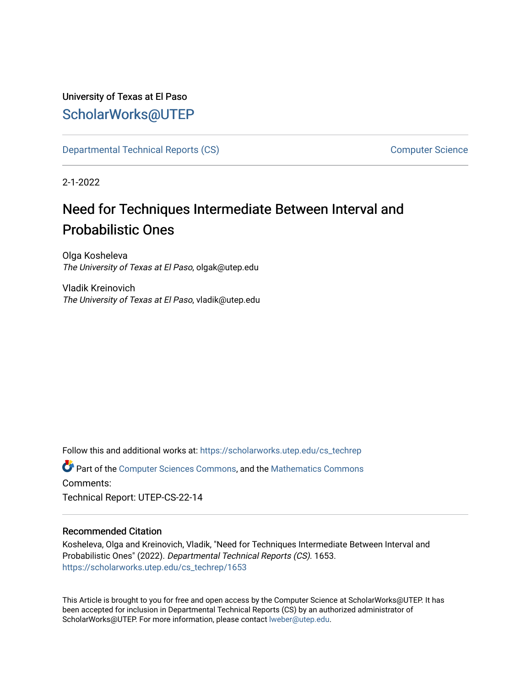# University of Texas at El Paso [ScholarWorks@UTEP](https://scholarworks.utep.edu/)

[Departmental Technical Reports \(CS\)](https://scholarworks.utep.edu/cs_techrep) [Computer Science](https://scholarworks.utep.edu/computer) 

2-1-2022

# Need for Techniques Intermediate Between Interval and Probabilistic Ones

Olga Kosheleva The University of Texas at El Paso, olgak@utep.edu

Vladik Kreinovich The University of Texas at El Paso, vladik@utep.edu

Follow this and additional works at: [https://scholarworks.utep.edu/cs\\_techrep](https://scholarworks.utep.edu/cs_techrep?utm_source=scholarworks.utep.edu%2Fcs_techrep%2F1653&utm_medium=PDF&utm_campaign=PDFCoverPages) 

Part of the [Computer Sciences Commons](http://network.bepress.com/hgg/discipline/142?utm_source=scholarworks.utep.edu%2Fcs_techrep%2F1653&utm_medium=PDF&utm_campaign=PDFCoverPages), and the [Mathematics Commons](http://network.bepress.com/hgg/discipline/174?utm_source=scholarworks.utep.edu%2Fcs_techrep%2F1653&utm_medium=PDF&utm_campaign=PDFCoverPages)  Comments:

Technical Report: UTEP-CS-22-14

## Recommended Citation

Kosheleva, Olga and Kreinovich, Vladik, "Need for Techniques Intermediate Between Interval and Probabilistic Ones" (2022). Departmental Technical Reports (CS). 1653. [https://scholarworks.utep.edu/cs\\_techrep/1653](https://scholarworks.utep.edu/cs_techrep/1653?utm_source=scholarworks.utep.edu%2Fcs_techrep%2F1653&utm_medium=PDF&utm_campaign=PDFCoverPages) 

This Article is brought to you for free and open access by the Computer Science at ScholarWorks@UTEP. It has been accepted for inclusion in Departmental Technical Reports (CS) by an authorized administrator of ScholarWorks@UTEP. For more information, please contact [lweber@utep.edu](mailto:lweber@utep.edu).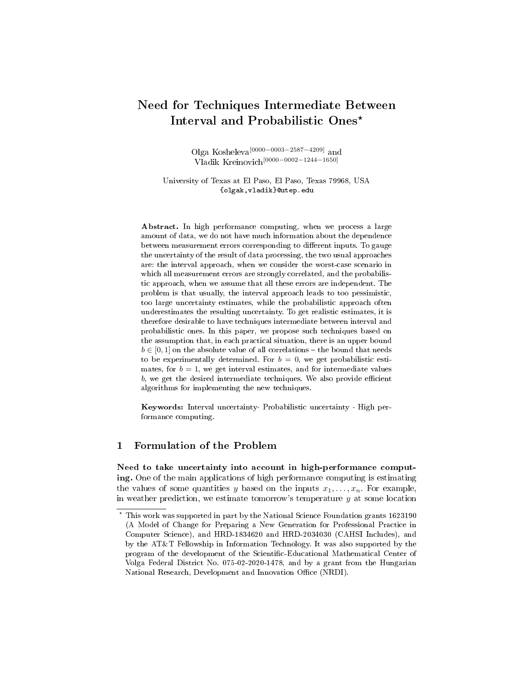## Need for Techniques Intermediate Between Interval and Probabilistic Ones<sup>\*</sup>

Olga Kosheleva<sup>[0000–0003–2587–4209]</sup> and Vladik Kreinovich[0000−0002−1244−1650]

University of Texas at El Paso, El Paso, Texas 79968, USA {olgak,vladik}@utep.edu

Abstract. In high performance computing, when we process a large amount of data, we do not have much information about the dependence between measurement errors corresponding to different inputs. To gauge the uncertainty of the result of data processing, the two usual approaches are: the interval approach, when we consider the worst-case scenario in which all measurement errors are strongly correlated, and the probabilistic approach, when we assume that all these errors are independent. The problem is that usually, the interval approach leads to too pessimistic, too large uncertainty estimates, while the probabilistic approach often underestimates the resulting uncertainty. To get realistic estimates, it is therefore desirable to have techniques intermediate between interval and probabilistic ones. In this paper, we propose such techniques based on the assumption that, in each practical situation, there is an upper bound  $b \in [0, 1]$  on the absolute value of all correlations – the bound that needs to be experimentally determined. For  $b = 0$ , we get probabilistic estimates, for  $b = 1$ , we get interval estimates, and for intermediate values  $b$ , we get the desired intermediate techniques. We also provide efficient algorithms for implementing the new techniques.

Keywords: Interval uncertainty· Probabilistic uncertainty · High performance computing.

### 1 Formulation of the Problem

Need to take uncertainty into account in high-performance computing. One of the main applications of high performance computing is estimating the values of some quantities y based on the inputs  $x_1, \ldots, x_n$ . For example, in weather prediction, we estimate tomorrow's temperature  $y$  at some location

<sup>⋆</sup> This work was supported in part by the National Science Foundation grants 1623190 (A Model of Change for Preparing a New Generation for Professional Practice in Computer Science), and HRD-1834620 and HRD-2034030 (CAHSI Includes), and by the AT&T Fellowship in Information Technology. It was also supported by the program of the development of the Scientific-Educational Mathematical Center of Volga Federal District No. 075-02-2020-1478, and by a grant from the Hungarian National Research, Development and Innovation Office (NRDI).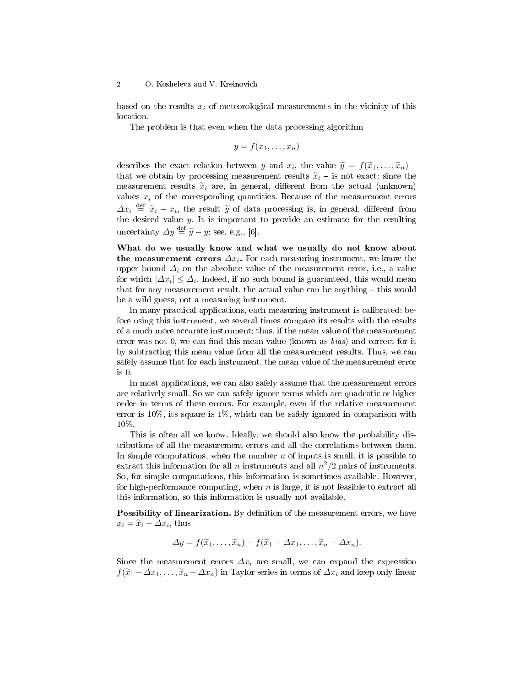based on the results  $x_i$  of meteorological measurements in the vicinity of this location.

The problem is that even when the data processing algorithm

$$
y = f(x_1, \ldots, x_n)
$$

describes the exact relation between y and  $x_i$ , the value  $\widetilde{y} = f(\widetilde{x}_1, \ldots, \widetilde{x}_n)$  -<br>that we obtain by processing monourment results  $\widetilde{x}_i$  is not exact, since the that we obtain by processing measurement results  $\tilde{x}_i$  – is not exact: since the measurement results  $\tilde{x}_i$  are, in general, different from the actual (unknown) values  $x_i$  of the corresponding quantities. Because of the measurement errors  $\Delta x_i \stackrel{\text{def}}{=} \tilde{x}_i - x_i$ , the result  $\tilde{y}$  of data processing is, in general, different from the desired value  $y$ . It is important to provide an estimate for the resulting uncertainty  $\Delta y \stackrel{\text{def}}{=} \tilde{y} - y$ ; see, e.g., [6].

What do we usually know and what we usually do not know about the measurement errors  $\Delta x_i$ . For each measuring instrument, we know the upper bound  $\Delta_i$  on the absolute value of the measurement error, i.e., a value for which  $|\varDelta x_i|\leq \varDelta_i.$  Indeed, if no such bound is guaranteed, this would mean that for any measurement result, the actual value can be anything  $-$  this would be a wild guess, not a measuring instrument.

In many practical applications, each measuring instrument is calibrated: before using this instrument, we several times compare its results with the results of a much more accurate instrument; thus, if the mean value of the measurement error was not 0, we can find this mean value (known as  $bias$ ) and correct for it by subtracting this mean value from all the measurement results. Thus, we can safely assume that for each instrument, the mean value of the measurement error is 0.

In most applications, we can also safely assume that the measurement errors are relatively small. So we can safely ignore terms which are quadratic or higher order in terms of these errors. For example, even if the relative measurement error is  $10\%$ , its square is  $1\%$ , which can be safely ignored in comparison with 10%.

This is often all we know. Ideally, we should also know the probability distributions of all the measurement errors and all the correlations between them. In simple computations, when the number  $n$  of inputs is small, it is possible to extract this information for all n instruments and all  $n^2/2$  pairs of instruments. So, for simple computations, this information is sometimes available. However, for high-performance computing, when  $n$  is large, it is not feasible to extract all this information, so this information is usually not available.

**Possibility of linearization.** By definition of the measurement errors, we have  $x_i = \tilde{x}_i - \Delta x_i$ , thus

$$
\Delta y = f(\widetilde{x}_1,\ldots,\widetilde{x}_n) - f(\widetilde{x}_1 - \Delta x_1,\ldots,\widetilde{x}_n - \Delta x_n).
$$

Since the measurement errors  $\Delta x_i$  are small, we can expand the expression  $f(\widetilde{x}_1 - \Delta x_1, \ldots, \widetilde{x}_n - \Delta x_n)$  in Taylor series in terms of  $\Delta x_i$  and keep only linear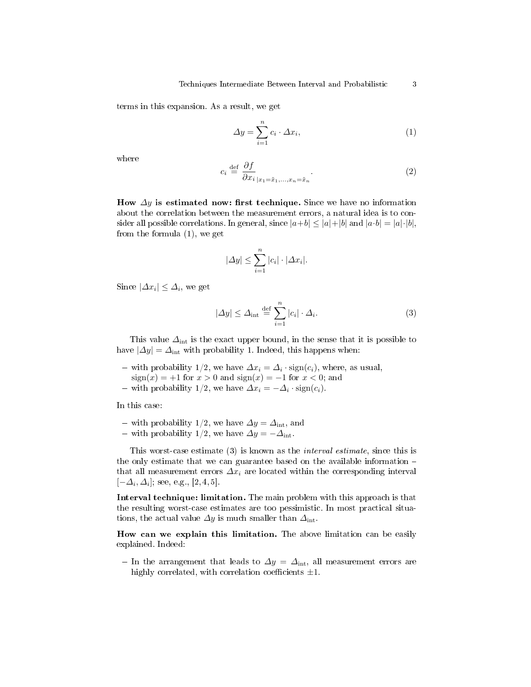terms in this expansion. As a result, we get

$$
\Delta y = \sum_{i=1}^{n} c_i \cdot \Delta x_i,\tag{1}
$$

where

$$
c_i \stackrel{\text{def}}{=} \frac{\partial f}{\partial x_i}_{|x_1 = \tilde{x}_1, \dots, x_n = \tilde{x}_n}.
$$
 (2)

How  $\Delta y$  is estimated now: first technique. Since we have no information about the correlation between the measurement errors, a natural idea is to consider all possible correlations. In general, since  $|a+b| \leq |a|+|b|$  and  $|a \cdot b| = |a| \cdot |b|$ , from the formula (1), we get

$$
|\Delta y| \le \sum_{i=1}^n |c_i| \cdot |\Delta x_i|.
$$

Since  $|\Delta x_i| \leq \Delta_i$ , we get

$$
|\Delta y| \le \Delta_{\rm int} \stackrel{\text{def}}{=} \sum_{i=1}^{n} |c_i| \cdot \Delta_i.
$$
 (3)

This value  $\Delta_{int}$  is the exact upper bound, in the sense that it is possible to have  $|\Delta y| = \Delta_{\text{int}}$  with probability 1. Indeed, this happens when:

- with probability 1/2, we have  $\Delta x_i = \Delta_i \cdot \text{sign}(c_i)$ , where, as usual,  $sign(x) = +1$  for  $x > 0$  and  $sign(x) = -1$  for  $x < 0$ ; and
- with probability 1/2, we have  $\Delta x_i = -\Delta_i \cdot \text{sign}(c_i)$ .

In this case:

- − with probability 1/2, we have  $\Delta y = \Delta_{\rm int}$ , and
- with probability 1/2, we have  $\Delta y = -\Delta_{\rm int}$ .

This worst-case estimate (3) is known as the interval estimate, since this is the only estimate that we can guarantee based on the available information that all measurement errors  $\Delta x_i$  are located within the corresponding interval  $[-\Delta_i, \Delta_i]$ ; see, e.g., [2, 4, 5].

Interval technique: limitation. The main problem with this approach is that the resulting worst-case estimates are too pessimistic. In most practical situations, the actual value  $\Delta y$  is much smaller than  $\Delta_{int}$ .

How can we explain this limitation. The above limitation can be easily explained. Indeed:

- In the arrangement that leads to  $\Delta y = \Delta_{\text{int}}$ , all measurement errors are highly correlated, with correlation coefficients  $\pm 1$ .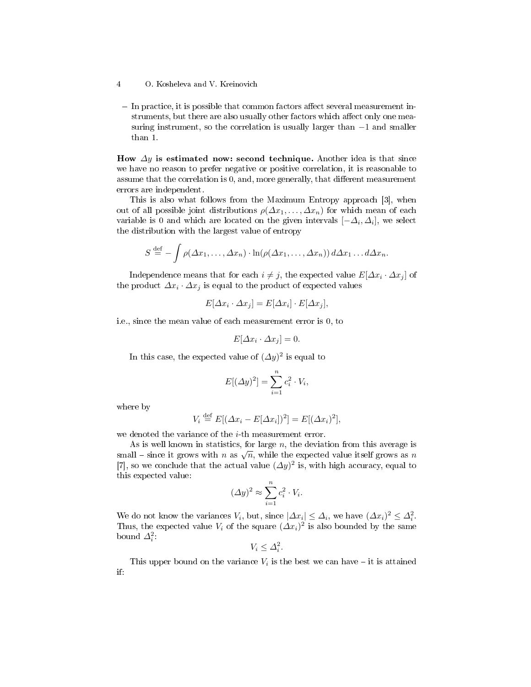$\overline{a}$  In practice, it is possible that common factors affect several measurement instruments, but there are also usually other factors which affect only one measuring instrument, so the correlation is usually larger than  $-1$  and smaller than 1.

How  $\Delta y$  is estimated now: second technique. Another idea is that since we have no reason to prefer negative or positive correlation, it is reasonable to assume that the correlation is  $0$ , and, more generally, that different measurement errors are independent.

This is also what follows from the Maximum Entropy approach [3], when out of all possible joint distributions  $\rho(\Delta x_1, \ldots, \Delta x_n)$  for which mean of each variable is 0 and which are located on the given intervals  $[-\Delta_i, \Delta_i]$ , we select the distribution with the largest value of entropy

$$
S \stackrel{\text{def}}{=} -\int \rho(\Delta x_1,\ldots,\Delta x_n) \cdot \ln(\rho(\Delta x_1,\ldots,\Delta x_n)) d\Delta x_1 \ldots d\Delta x_n.
$$

Independence means that for each  $i \neq j,$  the expected value  $E[\varDelta x_i \cdot \varDelta x_j]$  of the product  $\varDelta x_{i}\cdot \varDelta x_{j}$  is equal to the product of expected values

$$
E[\Delta x_i \cdot \Delta x_j] = E[\Delta x_i] \cdot E[\Delta x_j],
$$

i.e., since the mean value of each measurement error is 0, to

$$
E[\Delta x_i \cdot \Delta x_j] = 0.
$$

In this case, the expected value of  $(\varDelta y)^2$  is equal to

$$
E[(\Delta y)^2] = \sum_{i=1}^n c_i^2 \cdot V_i,
$$

where by

$$
V_i \stackrel{\text{def}}{=} E[(\Delta x_i - E[\Delta x_i])^2] = E[(\Delta x_i)^2],
$$

we denoted the variance of the  $i$ -th measurement error.

As is well known in statistics, for large  $n$ , the deviation from this average is As is wen known in statistics, for large *n*, the deviation from this average is<br>small – since it grows with *n* as  $\sqrt{n}$ , while the expected value itself grows as *n* [7], so we conclude that the actual value  $(\Delta y)^2$  is, with high accuracy, equal to this expected value:

$$
(\Delta y)^2 \approx \sum_{i=1}^n c_i^2 \cdot V_i.
$$

We do not know the variances  $V_i$ , but, since  $|\Delta x_i| \leq \Delta_i$ , we have  $(\Delta x_i)^2 \leq \Delta_i^2$ . Thus, the expected value  $V_i$  of the square  $(\Delta x_i)^2$  is also bounded by the same bound  $\Delta_i^2$ :

$$
V_i \leq \Delta_i^2.
$$

This upper bound on the variance  $V_i$  is the best we can have – it is attained if:

<sup>4</sup> O. Kosheleva and V. Kreinovich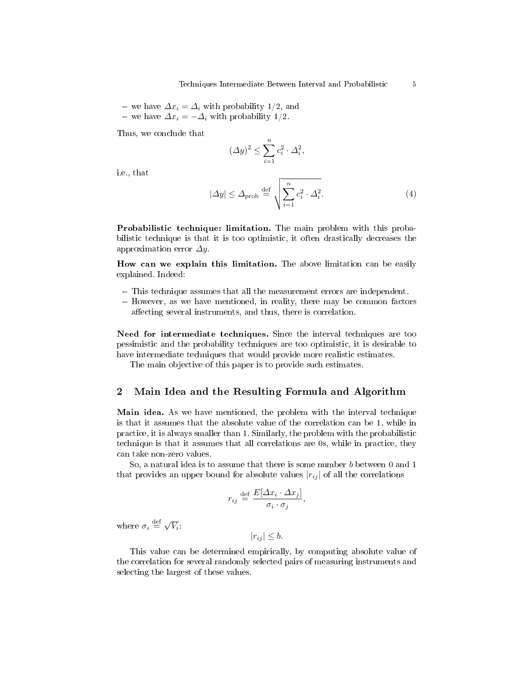- we have  $\Delta x_i = \Delta_i$  with probability 1/2, and

− we have  $\Delta x_i = -\Delta_i$  with probability 1/2.

Thus, we conclude that

$$
(\Delta y)^2 \le \sum_{i=1}^n c_i^2 \cdot \Delta_i^2,
$$

i.e., that

$$
|\Delta y| \le \Delta_{\text{prob}} \stackrel{\text{def}}{=} \sqrt{\sum_{i=1}^{n} c_i^2 \cdot \Delta_i^2}.
$$
 (4)

Probabilistic technique: limitation. The main problem with this probabilistic technique is that it is too optimistic, it often drastically decreases the approximation error  $\Delta y$ .

How can we explain this limitation. The above limitation can be easily explained. Indeed:

- This technique assumes that all the measurement errors are independent.
- $-$  However, as we have mentioned, in reality, there may be common factors affecting several instruments, and thus, there is correlation.

Need for intermediate techniques. Since the interval techniques are too pessimistic and the probability techniques are too optimistic, it is desirable to have intermediate techniques that would provide more realistic estimates.

The main objective of this paper is to provide such estimates.

#### 2 Main Idea and the Resulting Formula and Algorithm

Main idea. As we have mentioned, the problem with the interval technique is that it assumes that the absolute value of the correlation can be 1, while in practice, it is always smaller than 1. Similarly, the problem with the probabilistic technique is that it assumes that all correlations are 0s, while in practice, they can take non-zero values.

So, a natural idea is to assume that there is some number b between 0 and 1 that provides an upper bound for absolute values  $|r_{ij}|$  of all the correlations

$$
r_{ij} \stackrel{\text{def}}{=} \frac{E[\Delta x_i \cdot \Delta x_j]}{\sigma_i \cdot \sigma_j},
$$

where  $\sigma_i \stackrel{\text{def}}{=} \sqrt{V_i}$ :

 $|r_{ij}| \leq b.$ 

This value can be determined empirically, by computing absolute value of the correlation for several randomly selected pairs of measuring instruments and selecting the largest of these values.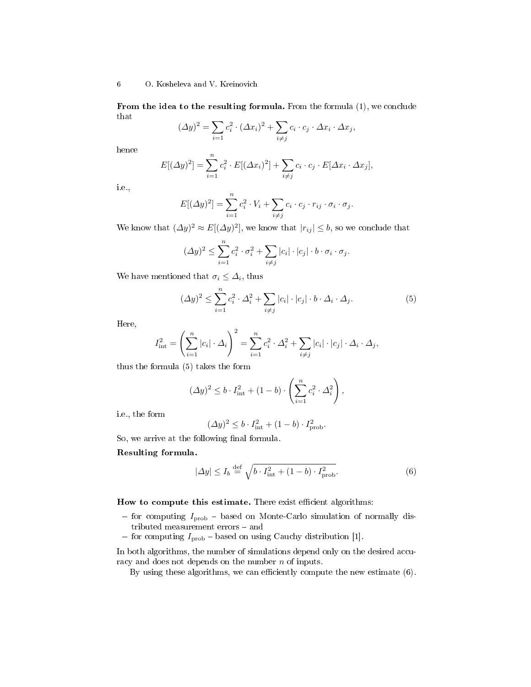#### 6 O. Kosheleva and V. Kreinovich

From the idea to the resulting formula. From the formula (1), we conclude that

$$
(\Delta y)^2 = \sum_{i=1}^n c_i^2 \cdot (\Delta x_i)^2 + \sum_{i \neq j} c_i \cdot c_j \cdot \Delta x_i \cdot \Delta x_j,
$$

hence

$$
E[(\Delta y)^2] = \sum_{i=1}^n c_i^2 \cdot E[(\Delta x_i)^2] + \sum_{i \neq j} c_i \cdot c_j \cdot E[\Delta x_i \cdot \Delta x_j],
$$

i.e.,

$$
E[(\Delta y)^2] = \sum_{i=1}^n c_i^2 \cdot V_i + \sum_{i \neq j} c_i \cdot c_j \cdot r_{ij} \cdot \sigma_i \cdot \sigma_j.
$$

We know that  $(\Delta y)^2 \approx E[(\Delta y)^2]$ , we know that  $|r_{ij}| \leq b$ , so we conclude that

$$
(\Delta y)^2 \le \sum_{i=1}^n c_i^2 \cdot \sigma_i^2 + \sum_{i \ne j} |c_i| \cdot |c_j| \cdot b \cdot \sigma_i \cdot \sigma_j.
$$

We have mentioned that  $\sigma_i \leq \Delta_i$ , thus

$$
(\Delta y)^2 \le \sum_{i=1}^n c_i^2 \cdot \Delta_i^2 + \sum_{i \ne j} |c_i| \cdot |c_j| \cdot b \cdot \Delta_i \cdot \Delta_j.
$$
 (5)

Here,

$$
I_{\text{int}}^2 = \left(\sum_{i=1}^n |c_i| \cdot \Delta_i\right)^2 = \sum_{i=1}^n c_i^2 \cdot \Delta_i^2 + \sum_{i \neq j} |c_i| \cdot |c_j| \cdot \Delta_i \cdot \Delta_j,
$$

thus the formula (5) takes the form

$$
(\Delta y)^2 \le b \cdot I_{\rm int}^2 + (1 - b) \cdot \left(\sum_{i=1}^n c_i^2 \cdot \Delta_i^2\right),
$$

i.e., the form

$$
(\Delta y)^2 \le b \cdot I_{\text{int}}^2 + (1 - b) \cdot I_{\text{prob}}^2.
$$

So, we arrive at the following final formula.

#### Resulting formula.

$$
|\Delta y| \le I_b \stackrel{\text{def}}{=} \sqrt{b \cdot I_{\text{int}}^2 + (1 - b) \cdot I_{\text{prob}}^2}.
$$
 (6)

How to compute this estimate. There exist efficient algorithms:

- $f$  for computing  $I_{\text{prob}}$  based on Monte-Carlo simulation of normally dis- $\tt{tributed}$  measurement  $\tt{errors}$  –  $\tt{and}$
- for computing  $I_{\text{prob}}$  based on using Cauchy distribution [1].

In both algorithms, the number of simulations depend only on the desired accuracy and does not depends on the number  $n$  of inputs.

By using these algorithms, we can efficiently compute the new estimate (6).